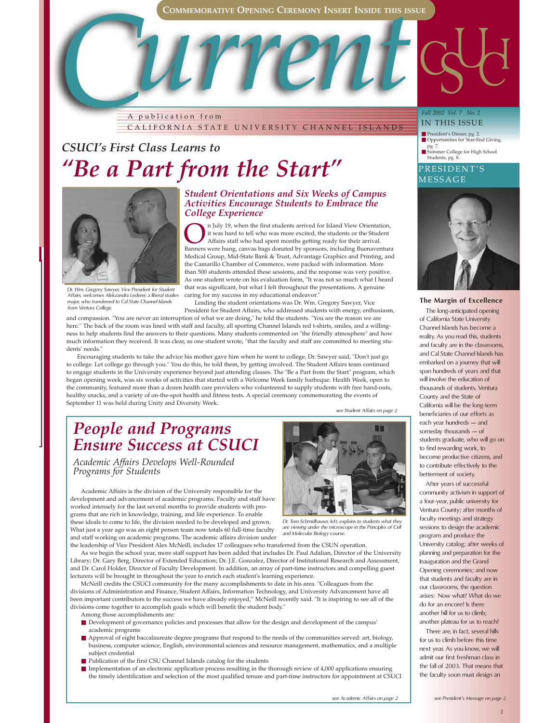**COMMEMORATIVE OPENING CEREMONY INSERT INSIDE THIS ISSUE**

*C* **COMMEMORATIVE OPENING CEREMONY INSERT INSIDE THIS ISS** A publication from CALIFORNIA STATE UNIVERSITY CHANNEL ISLANDS

## *CSUCI's First Class Learns to "Be a Part from the Start"*



*Dr. Wm. Gregory Sawyer, Vice President for Student Affairs, welcomes Alekzandra Lederer, a liberal studies major, who transferred to Cal State Channel Islands from Ventura College.* 

#### *Student Orientations and Six Weeks of Campus Activities Encourage Students to Embrace the College Experience*

**On July 19, when the first students arrived for Island View Orientation,** it was hard to tell who was more excited, the students or the Student Banners were hung. Canvas bass donated by sponsors, including Buenaventural. it was hard to tell who was more excited, the students or the Student Affairs staff who had spent months getting ready for their arrival. Banners were hung, canvas bags donated by sponsors, including Buenaventura Medical Group, Mid-State Bank & Trust, Advantage Graphics and Printing, and the Camarillo Chamber of Commerce, were packed with information. More than 500 students attended these sessions, and the response was very positive. As one student wrote on his evaluation form, "It was not so much what I heard that was significant, but what I felt throughout the presentations. A genuine caring for my success in my educational endeavor."

Leading the student orientations was Dr. Wm. Gregory Sawyer, Vice

President for Student Affairs, who addressed students with energy, enthusiasm, and compassion. "You are never an interruption of what we are doing," he told the students. "You are the reason we are here." The back of the room was lined with staff and faculty, all sporting Channel Islands red t-shirts, smiles, and a willingness to help students find the answers to their questions. Many students commented on "the friendly atmosphere" and how much information they received. It was clear, as one student wrote, "that the faculty and staff are committed to meeting students' needs."

Encouraging students to take the advice his mother gave him when he went to college, Dr. Sawyer said, "Don't just go to college. Let college go through you." You do this, he told them, by getting involved. The Student Affairs team continued to engage students in the University experience beyond just attending classes. The "Be a Part from the Start" program, which began opening week, was six weeks of activities that started with a Welcome Week family barbeque. Health Week, open to the community, featured more than a dozen health care providers who volunteered to supply students with free hand-outs, healthy snacks, and a variety of on-the-spot health and fitness tests. A special ceremony commemorating the events of September 11 was held during Unity and Diversity Week.

*see Student Affairs on page 2* 

## *People and Programs Ensure Success at CSUCI*

*Academic Affairs Develops Well-Rounded Programs for Students*

Academic Affairs is the division of the University responsible for the development and advancement of academic programs. Faculty and staff have worked intensely for the last several months to provide students with programs that are rich in knowledge, training, and life experience. To enable these ideals to come to life, the division needed to be developed and grown. What just a year ago was an eight person team now totals 60 full-time faculty and staff working on academic programs. The academic affairs division under



*Dr. Tom Schmidhauser, left, explains to students what they are viewing under the microscope in the Principles of Cell and Molecular Biology course.* 

the leadership of Vice President Alex McNeill, includes 17 colleagues who transferred from the CSUN operation. As we begin the school year, more staff support has been added that includes Dr. Paul Adalian, Director of the University Library; Dr. Gary Berg, Director of Extended Education; Dr. J.E. Gonzalez, Director of Institutional Research and Assessment, and Dr. Carol Holder, Director of Faculty Development. In addition, an array of part-time instructors and compelling guest lecturers will be brought in throughout the year to enrich each student's learning experience.

McNeill credits the CSUCI community for the many accomplishments to date in his area. "Colleagues from the divisions of Administration and Finance, Student Affairs, Information Technology, and University Advancement have all been important contributors to the success we have already enjoyed," McNeill recently said. "It is inspiring to see all of the divisions come together to accomplish goals which will benefit the student body."

- Among those accomplishments are:
- Development of governance policies and processes that allow for the design and development of the campus' academic programs
- Approval of eight baccalaureate degree programs that respond to the needs of the communities served: art, biology, business, computer science, English, environmental sciences and resource management, mathematics, and a multiple subject credential
- $\blacksquare$  <br> Publication of the first CSU Channel Islands catalog for the students
- Implementation of an electronic application process resulting in the thorough review of 4,000 applications ensuring the timely identification and selection of the most qualified tenure and part-time instructors for appointment at CSUCI

#### *Fall 2002 Vol. 7 No. 2* IN THIS ISSUE

■ President's Dinner, pg. 2.<br>■ Opportunities for Year-End Giving,

pg. 7. ■ Summer College for High School Students, pg. 8.

PRESIDENT'S MESSAGE



#### **The Margin of Excellence**

The long-anticipated opening of California State University Channel Islands has become a reality. As you read this, students and faculty are in the classrooms, and Cal State Channel Islands has embarked on a journey that will span hundreds of years and that will involve the education of thousands of students. Ventura County and the State of California will be the long-term beneficiaries of our efforts as each year hundreds — and someday thousands — of students graduate, who will go on to find rewarding work, to become productive citizens, and to contribute effectively to the betterment of society.

After years of successful community activism in support of a four-year, public university for Ventura County; after months of faculty meetings and strategy sessions to design the academic program and produce the University catalog; after weeks of planning and preparation for the Inauguration and the Grand Opening ceremonies; and now that students and faculty are in our classrooms, the question arises: Now what? What do we do for an encore? Is there another hill for us to climb; another plateau for us to reach?

There are, in fact, several hills for us to climb before this time next year. As you know, we will admit our first freshman class in the fall of 2003. That means that the faculty soon must design an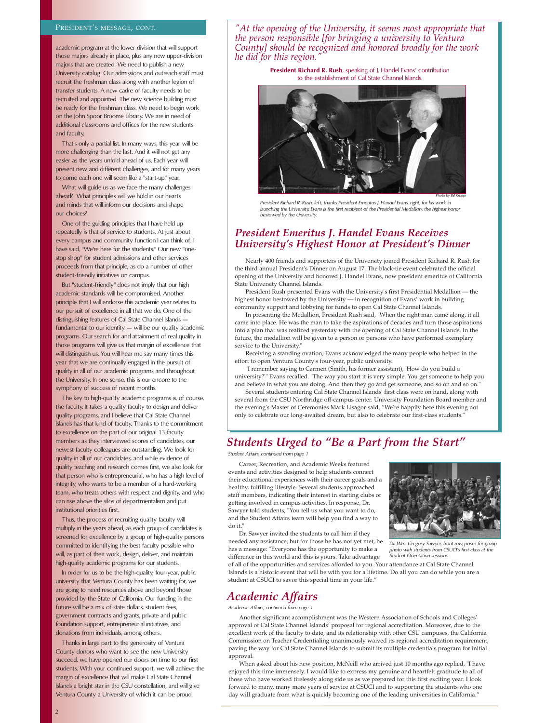#### PRESIDENT'S MESSAGE, CONT.

academic program at the lower division that will support those majors already in place, plus any new upper-division majors that are created. We need to publish a new University catalog. Our admissions and outreach staff must recruit the freshman class along with another legion of transfer students. A new cadre of faculty needs to be recruited and appointed. The new science building must be ready for the freshman class. We need to begin work on the John Spoor Broome Library. We are in need of additional classrooms and offices for the new students and faculty.

That's only a partial list. In many ways, this year will be more challenging than the last. And it will not get any easier as the years unfold ahead of us. Each year will present new and different challenges, and for many years to come each one will seem like a "start-up" year.

What will guide us as we face the many challenges ahead? What principles will we hold in our hearts and minds that will inform our decisions and shape our choices?

One of the guiding principles that I have held up repeatedly is that of service to students. At just about every campus and community function I can think of, I have said. "We're here for the students." Our new "onestop shop" for student admissions and other services proceeds from that principle, as do a number of other student-friendly initiatives on campus.

But "student-friendly" does not imply that our high academic standards will be compromised. Another principle that I will endorse this academic year relates to our pursuit of excellence in all that we do. One of the distinguishing features of Cal State Channel Islands fundamental to our identity — will be our quality academic programs. Our search for and attainment of real quality in those programs will give us that margin of excellence that will distinguish us. You will hear me say many times this year that we are continually engaged in the pursuit of quality in all of our academic programs and throughout the University. In one sense, this is our encore to the symphony of success of recent months.

The key to high-quality academic programs is, of course, the faculty. It takes a quality faculty to design and deliver quality programs, and I believe that Cal State Channel Islands has that kind of faculty. Thanks to the commitment to excellence on the part of our original 13 faculty members as they interviewed scores of candidates, our newest faculty colleagues are outstanding. We look for quality in all of our candidates, and while evidence of quality teaching and research comes first, we also look for that person who is entrepreneurial, who has a high level of integrity, who wants to be a member of a hard-working team, who treats others with respect and dignity, and who can rise above the silos of departmentalism and put institutional priorities first.

Thus, the process of recruiting quality faculty will multiply in the years ahead, as each group of candidates is screened for excellence by a group of high-quality persons committed to identifying the best faculty possible who will, as part of their work, design, deliver, and maintain high-quality academic programs for our students.

In order for us to be the high-quality, four-year, public university that Ventura County has been waiting for, we are going to need resources above and beyond those provided by the State of California. Our funding in the future will be a mix of state dollars, student fees, government contracts and grants, private and public foundation support, entrepreneurial initiatives, and donations from individuals, among others.

Thanks in large part to the generosity of Ventura County donors who want to see the new University succeed, we have opened our doors on time to our first students. With your continued support, we will achieve the margin of excellence that will make Cal State Channel Islands a bright star in the CSU constellation, and will give Ventura County a University of which it can be proud.

*"At the opening of the University, it seems most appropriate that the person responsible [for bringing a university to Ventura County] should be recognized and honored broadly for the work he did for this region."* 

> **President Richard R. Rush**, speaking of J. Handel Evans' contribution to the establishment of Cal State Channel Islands.



*President Richard R. Rush, left, thanks President Emeritus J. Handel Evans, right, for his work in launching the University. Evans is the first recipient of the Presidential Medallion, the highest honor bestowed by the University.*

### *President Emeritus J. Handel Evans Receives University's Highest Honor at President's Dinner*

Nearly 400 friends and supporters of the University joined President Richard R. Rush for the third annual President's Dinner on August 17. The black-tie event celebrated the official opening of the University and honored J. Handel Evans, now president emeritus of California State University Channel Islands.

President Rush presented Evans with the University's first Presidential Medallion — the highest honor bestowed by the University — in recognition of Evans' work in building community support and lobbying for funds to open Cal State Channel Islands.

In presenting the Medallion, President Rush said, "When the right man came along, it all came into place. He was the man to take the aspirations of decades and turn those aspirations into a plan that was realized yesterday with the opening of Cal State Channel Islands. In the future, the medallion will be given to a person or persons who have performed exemplary service to the University."

Receiving a standing ovation, Evans acknowledged the many people who helped in the effort to open Ventura County's four-year, public university.

"I remember saying to Carmen (Smith, his former assistant), 'How do you build a university?'" Evans recalled. "The way you start it is very simple. You get someone to help you and believe in what you are doing. And then they go and get someone, and so on and so on.'

Several students entering Cal State Channel Islands' first class were on hand, along with several from the CSU Northridge off-campus center. University Foundation Board member and the evening's Master of Ceremonies Mark Lisagor said, "We're happily here this evening not only to celebrate our long-awaited dream, but also to celebrate our first-class students."

## *Students Urged to "Be a Part from the Start"*

*Student Affairs, continued from page 1*

Career, Recreation, and Academic Weeks featured events and activities designed to help students connect their educational experiences with their career goals and a healthy, fulfilling lifestyle. Several students approached staff members, indicating their interest in starting clubs or getting involved in campus activities. In response, Dr. Sawyer told students, "You tell us what you want to do, and the Student Affairs team will help you find a way to do it."

Dr. Sawyer invited the students to call him if they needed any assistance, but for those he has not yet met, he has a message: "Everyone has the opportunity to make a difference in this world and this is yours. Take advantage



*Dr. Wm. Gregory Sawyer, front row, poses for group photo with students from CSUCI's first class at the Student Orientation sessions.* 

of all of the opportunities and services afforded to you. Your attendance at Cal State Channel Islands is a historic event that will be with you for a lifetime. Do all you can do while you are a student at CSUCI to savor this special time in your life."

## *Academic Affairs*

*Academic Affairs, continued from page 1*

Another significant accomplishment was the Western Association of Schools and Colleges' approval of Cal State Channel Islands' proposal for regional accreditation. Moreover, due to the excellent work of the faculty to date, and its relationship with other CSU campuses, the California Commission on Teacher Credentialing unanimously waived its regional accreditation requirement, paving the way for Cal State Channel Islands to submit its multiple credentials program for initial approval.

When asked about his new position, McNeill who arrived just 10 months ago replied, "I have enjoyed this time immensely. I would like to express my genuine and heartfelt gratitude to all of those who have worked tirelessly along side us as we prepared for this first exciting year. I look forward to many, many more years of service at CSUCI and to supporting the students who one day will graduate from what is quickly becoming one of the leading universities in California."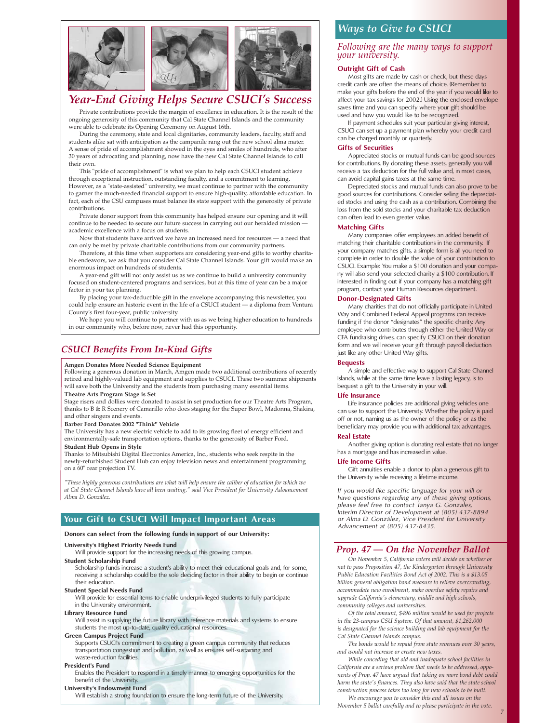

## *Year-End Giving Helps Secure CSUCI's Success*

Private contributions provide the margin of excellence in education. It is the result of the ongoing generosity of this community that Cal State Channel Islands and the community were able to celebrate its Opening Ceremony on August 16th.

During the ceremony, state and local dignitaries, community leaders, faculty, staff and students alike sat with anticipation as the campanile rang out the new school alma mater. A sense of pride of accomplishment showed in the eyes and smiles of hundreds, who after 30 years of advocating and planning, now have the new Cal State Channel Islands to call their own.

This "pride of accomplishment" is what we plan to help each CSUCI student achieve through exceptional instruction, outstanding faculty, and a commitment to learning. However, as a "state-assisted" university, we must continue to partner with the community to garner the much-needed financial support to ensure high-quality, affordable education. In fact, each of the CSU campuses must balance its state support with the generosity of private contributions.

Private donor support from this community has helped ensure our opening and it will continue to be needed to secure our future success in carrying out our heralded mission academic excellence with a focus on students.

Now that students have arrived we have an increased need for resources — a need that can only be met by private charitable contributions from our community partners.

Therefore, at this time when supporters are considering year-end gifts to worthy charitable endeavors, we ask that you consider Cal State Channel Islands. Your gift would make an enormous impact on hundreds of students.

A year-end gift will not only assist us as we continue to build a university community focused on student-centered programs and services, but at this time of year can be a major factor in your tax planning.

By placing your tax-deductible gift in the envelope accompanying this newsletter, you could help ensure an historic event in the life of a CSUCI student — a diploma from Ventura County's first four-year, public university.

We hope you will continue to partner with us as we bring higher education to hundreds in our community who, before now, never had this opportunity.

## *CSUCI Benefits From In-Kind Gifts*

#### **Amgen Donates More Needed Science Equipment**

Following a generous donation in March, Amgen made two additional contributions of recently retired and highly-valued lab equipment and supplies to CSUCI. These two summer shipments will save both the University and the students from purchasing many essential items.

#### **Theatre Arts Program Stage is Set**

Stage risers and dollies were donated to assist in set production for our Theatre Arts Program, thanks to B & R Scenery of Camarillo who does staging for the Super Bowl, Madonna, Shakira, and other singers and events.

#### **Barber Ford Donates 2002 "Think" Vehicle**

The University has a new electric vehicle to add to its growing fleet of energy efficient and environmentally-safe transportation options, thanks to the generosity of Barber Ford. **Student Hub Opens in Style**

Thanks to Mitsubishi Digital Electronics America, Inc., students who seek respite in the newly-refurbished Student Hub can enjoy television news and entertainment programming on a 60" rear projection TV.

*"These highly generous contributions are what will help ensure the caliber of education for which we at Cal State Channel Islands have all been waiting," said Vice President for University Advancement Alma D. González.*

#### **Your Gift to CSUCI Will Impact Important Areas**

#### **Donors can select from the following funds in support of our University:**

#### **University's Highest Priority Needs Fund**

Will provide support for the increasing needs of this growing campus. **Student Scholarship Fund**

Scholarship funds increase a student's ability to meet their educational goals and, for some, receiving a scholarship could be the sole deciding factor in their ability to begin or continue their education.

**Student Special Needs Fund**

Will provide for essential items to enable underprivileged students to fully participate in the University environment.

#### **Library Resource Fund**

Will assist in supplying the future library with reference materials and systems to ensure students the most up-to-date, quality educational resources.

#### **Green Campus Project Fund**

Supports CSUCI's commitment to creating a green campus community that reduces transportation congestion and pollution, as well as ensures self-sustaining and waste-reduction facilities.

#### **President's Fund**

Enables the President to respond in a timely manner to emerging opportunities for the benefit of the University.

#### **University's Endowment Fund**

Will establish a strong foundation to ensure the long-term future of the University.

### *Ways to Give to CSUCI*

#### *Following are the many ways to support your university.*

### **Outright Gift of Cash**

Most gifts are made by cash or check, but these days credit cards are often the means of choice. (Remember to make your gifts before the end of the year if you would like to affect your tax savings for 2002.) Using the enclosed envelope saves time and you can specify where your gift should be used and how you would like to be recognized.

If payment schedules suit your particular giving interest, CSUCI can set up a payment plan whereby your credit card can be charged monthly or quarterly.

#### **Gifts of Securities**

Appreciated stocks or mutual funds can be good sources for contributions. By donating these assets, generally you will receive a tax deduction for the full value and, in most cases, can avoid capital gains taxes at the same time.

Depreciated stocks and mutual funds can also prove to be good sources for contributions. Consider selling the depreciated stocks and using the cash as a contribution. Combining the loss from the sold stocks and your charitable tax deduction can often lead to even greater value.

#### **Matching Gifts**

Many companies offer employees an added benefit of matching their charitable contributions in the community. If your company matches gifts, a simple form is all you need to complete in order to double the value of your contribution to CSUCI. Example: You make a \$100 donation and your company will also send your selected charity a \$100 contribution. If interested in finding out if your company has a matching gift program, contact your Human Resources department.

#### **Donor-Designated Gifts**

Many charities that do not officially participate in United Way and Combined Federal Appeal programs can receive funding if the donor "designates" the specific charity. Any employee who contributes through either the United Way or CFA fundraising drives, can specify CSUCI on their donation form and we will receive your gift through payroll deduction just like any other United Way gifts.

#### **Bequests**

A simple and effective way to support Cal State Channel Islands, while at the same time leave a lasting legacy, is to bequest a gift to the University in your will.

#### **Life Insurance**

Life insurance policies are additional giving vehicles one can use to support the University. Whether the policy is paid off or not, naming us as the owner of the policy or as the beneficiary may provide you with additional tax advantages.

#### **Real Estate**

Another giving option is donating real estate that no longer has a mortgage and has increased in value.

#### **Life Income Gifts**

Gift annuities enable a donor to plan a generous gift to the University while receiving a lifetime income.

*If you would like specific language for your will or have questions regarding any of these giving options, please feel free to contact Tanya G. Gonzales, Interim Director of Development at (805) 437-8894 or Alma D. González, Vice President for University Advancement at (805) 437-8435.*

### *Prop. 47 — On the November Ballot*

*On November 5, California voters will decide on whether or not to pass Proposition 47, the Kindergarten through University Public Education Facilities Bond Act of 2002. This is a \$13.05 billion general obligation bond measure to relieve overcrowding, accommodate new enrollment, make overdue safety repairs and upgrade California's elementary, middle and high schools, community colleges and universities.*

*Of the total amount, \$496 million would be used for projects in the 23-campus CSU System. Of that amount, \$1,262,000 is designated for the science building and lab equipment for the Cal State Channel Islands campus.*

*The bonds would be repaid from state revenues over 30 years, and would not increase or create new taxes.* 

*While conceding that old and inadequate school facilities in California are a serious problem that needs to be addressed, opponents of Prop. 47 have argued that taking on more bond debt could harm the state's finances. They also have said that the state school construction process takes too long for new schools to be built.*

*We encourage you to consider this and all issues on the November 5 ballot carefully and to please participate in the vote.*